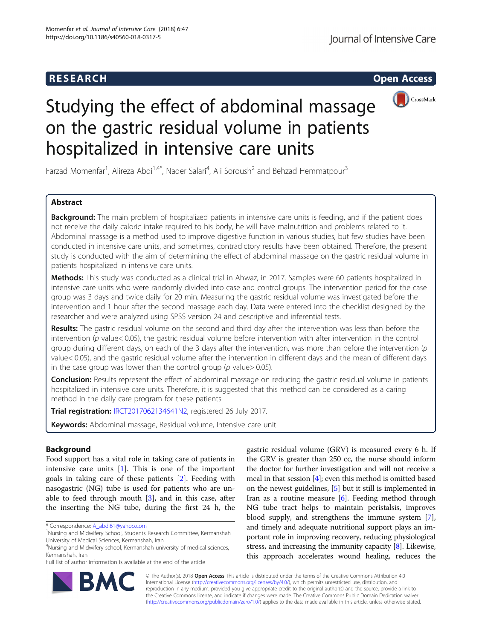## **RESEARCH RESEARCH CONSUMING ACCESS**



# Studying the effect of abdominal massage on the gastric residual volume in patients hospitalized in intensive care units

Farzad Momenfar<sup>1</sup>, Alireza Abdi<sup>1,4\*</sup>, Nader Salari<sup>4</sup>, Ali Soroush<sup>2</sup> and Behzad Hemmatpour<sup>3</sup>

## Abstract

**Background:** The main problem of hospitalized patients in intensive care units is feeding, and if the patient does not receive the daily caloric intake required to his body, he will have malnutrition and problems related to it. Abdominal massage is a method used to improve digestive function in various studies, but few studies have been conducted in intensive care units, and sometimes, contradictory results have been obtained. Therefore, the present study is conducted with the aim of determining the effect of abdominal massage on the gastric residual volume in patients hospitalized in intensive care units.

Methods: This study was conducted as a clinical trial in Ahwaz, in 2017. Samples were 60 patients hospitalized in intensive care units who were randomly divided into case and control groups. The intervention period for the case group was 3 days and twice daily for 20 min. Measuring the gastric residual volume was investigated before the intervention and 1 hour after the second massage each day. Data were entered into the checklist designed by the researcher and were analyzed using SPSS version 24 and descriptive and inferential tests.

Results: The gastric residual volume on the second and third day after the intervention was less than before the intervention ( $p$  value< 0.05), the gastric residual volume before intervention with after intervention in the control group during different days, on each of the 3 days after the intervention, was more than before the intervention  $(p$ value< 0.05), and the gastric residual volume after the intervention in different days and the mean of different days in the case group was lower than the control group ( $p$  value  $> 0.05$ ).

Conclusion: Results represent the effect of abdominal massage on reducing the gastric residual volume in patients hospitalized in intensive care units. Therefore, it is suggested that this method can be considered as a caring method in the daily care program for these patients.

Trial registration: [IRCT2017062134641N2](http://en.irct.ir/trial/26431), registered 26 July 2017.

Keywords: Abdominal massage, Residual volume, Intensive care unit

## Background

Food support has a vital role in taking care of patients in intensive care units [[1\]](#page-6-0). This is one of the important goals in taking care of these patients [[2\]](#page-6-0). Feeding with nasogastric (NG) tube is used for patients who are unable to feed through mouth [[3\]](#page-6-0), and in this case, after the inserting the NG tube, during the first 24 h, the gastric residual volume (GRV) is measured every 6 h. If the GRV is greater than 250 cc, the nurse should inform the doctor for further investigation and will not receive a meal in that session [\[4\]](#page-6-0); even this method is omitted based on the newest guidelines, [[5](#page-6-0)] but it still is implemented in Iran as a routine measure  $[6]$  $[6]$ . Feeding method through NG tube tract helps to maintain peristalsis, improves blood supply, and strengthens the immune system [[7](#page-6-0)], and timely and adequate nutritional support plays an important role in improving recovery, reducing physiological stress, and increasing the immunity capacity [\[8\]](#page-6-0). Likewise, this approach accelerates wound healing, reduces the



© The Author(s). 2018 Open Access This article is distributed under the terms of the Creative Commons Attribution 4.0 International License [\(http://creativecommons.org/licenses/by/4.0/](http://creativecommons.org/licenses/by/4.0/)), which permits unrestricted use, distribution, and reproduction in any medium, provided you give appropriate credit to the original author(s) and the source, provide a link to the Creative Commons license, and indicate if changes were made. The Creative Commons Public Domain Dedication waiver [\(http://creativecommons.org/publicdomain/zero/1.0/](http://creativecommons.org/publicdomain/zero/1.0/)) applies to the data made available in this article, unless otherwise stated.

<sup>\*</sup> Correspondence: [A\\_abdi61@yahoo.com](mailto:A_abdi61@yahoo.com) <sup>1</sup>

Nursing and Midwifery School, Students Research Committee, Kermanshah University of Medical Sciences, Kermanshah, Iran

<sup>&</sup>lt;sup>4</sup>Nursing and Midwifery school, Kermanshah university of medical sciences, Kermanshah, Iran

Full list of author information is available at the end of the article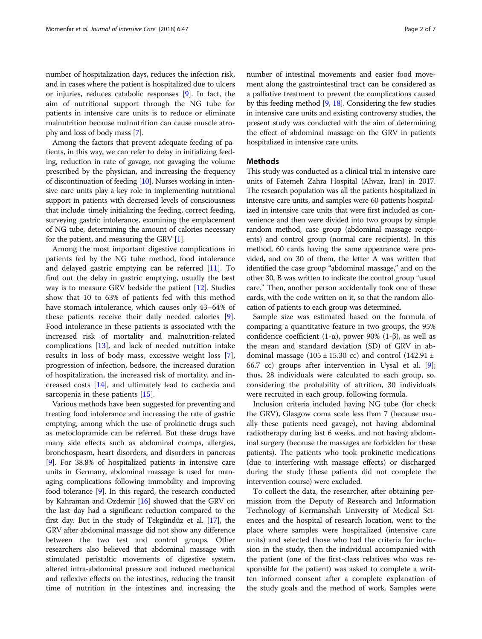number of hospitalization days, reduces the infection risk, and in cases where the patient is hospitalized due to ulcers or injuries, reduces catabolic responses [\[9](#page-6-0)]. In fact, the aim of nutritional support through the NG tube for patients in intensive care units is to reduce or eliminate malnutrition because malnutrition can cause muscle atrophy and loss of body mass [\[7](#page-6-0)].

Among the factors that prevent adequate feeding of patients, in this way, we can refer to delay in initializing feeding, reduction in rate of gavage, not gavaging the volume prescribed by the physician, and increasing the frequency of discontinuation of feeding [[10](#page-6-0)]. Nurses working in intensive care units play a key role in implementing nutritional support in patients with decreased levels of consciousness that include: timely initializing the feeding, correct feeding, surveying gastric intolerance, examining the emplacement of NG tube, determining the amount of calories necessary for the patient, and measuring the GRV  $[1]$  $[1]$  $[1]$ .

Among the most important digestive complications in patients fed by the NG tube method, food intolerance and delayed gastric emptying can be referred [\[11\]](#page-6-0). To find out the delay in gastric emptying, usually the best way is to measure GRV bedside the patient [[12\]](#page-6-0). Studies show that 10 to 63% of patients fed with this method have stomach intolerance, which causes only 43–64% of these patients receive their daily needed calories [\[9](#page-6-0)]. Food intolerance in these patients is associated with the increased risk of mortality and malnutrition-related complications [[13\]](#page-6-0), and lack of needed nutrition intake results in loss of body mass, excessive weight loss [\[7](#page-6-0)], progression of infection, bedsore, the increased duration of hospitalization, the increased risk of mortality, and increased costs [\[14](#page-6-0)], and ultimately lead to cachexia and sarcopenia in these patients [\[15](#page-6-0)].

Various methods have been suggested for preventing and treating food intolerance and increasing the rate of gastric emptying, among which the use of prokinetic drugs such as metoclopramide can be referred. But these drugs have many side effects such as abdominal cramps, allergies, bronchospasm, heart disorders, and disorders in pancreas [[9\]](#page-6-0). For 38.8% of hospitalized patients in intensive care units in Germany, abdominal massage is used for managing complications following immobility and improving food tolerance [\[9](#page-6-0)]. In this regard, the research conducted by Kahraman and Ozdemir [\[16\]](#page-6-0) showed that the GRV on the last day had a significant reduction compared to the first day. But in the study of Tekgündüz et al. [\[17](#page-6-0)], the GRV after abdominal massage did not show any difference between the two test and control groups. Other researchers also believed that abdominal massage with stimulated peristaltic movements of digestive system, altered intra-abdominal pressure and induced mechanical and reflexive effects on the intestines, reducing the transit time of nutrition in the intestines and increasing the

number of intestinal movements and easier food movement along the gastrointestinal tract can be considered as a palliative treatment to prevent the complications caused by this feeding method [[9](#page-6-0), [18\]](#page-6-0). Considering the few studies in intensive care units and existing controversy studies, the present study was conducted with the aim of determining the effect of abdominal massage on the GRV in patients hospitalized in intensive care units.

## **Methods**

This study was conducted as a clinical trial in intensive care units of Fatemeh Zahra Hospital (Ahvaz, Iran) in 2017. The research population was all the patients hospitalized in intensive care units, and samples were 60 patients hospitalized in intensive care units that were first included as convenience and then were divided into two groups by simple random method, case group (abdominal massage recipients) and control group (normal care recipients). In this method, 60 cards having the same appearance were provided, and on 30 of them, the letter A was written that identified the case group "abdominal massage," and on the other 30, B was written to indicate the control group "usual care." Then, another person accidentally took one of these cards, with the code written on it, so that the random allocation of patients to each group was determined.

Sample size was estimated based on the formula of comparing a quantitative feature in two groups, the 95% confidence coefficient (1-α), power 90% (1-β), as well as the mean and standard deviation (SD) of GRV in abdominal massage (105  $\pm$  15.30 cc) and control (142.91  $\pm$ 66.7 cc) groups after intervention in Uysal et al. [\[9](#page-6-0)]; thus, 28 individuals were calculated to each group, so, considering the probability of attrition, 30 individuals were recruited in each group, following formula.

Inclusion criteria included having NG tube (for check the GRV), Glasgow coma scale less than 7 (because usually these patients need gavage), not having abdominal radiotherapy during last 6 weeks, and not having abdominal surgery (because the massages are forbidden for these patients). The patients who took prokinetic medications (due to interfering with massage effects) or discharged during the study (these patients did not complete the intervention course) were excluded.

To collect the data, the researcher, after obtaining permission from the Deputy of Research and Information Technology of Kermanshah University of Medical Sciences and the hospital of research location, went to the place where samples were hospitalized (intensive care units) and selected those who had the criteria for inclusion in the study, then the individual accompanied with the patient (one of the first-class relatives who was responsible for the patient) was asked to complete a written informed consent after a complete explanation of the study goals and the method of work. Samples were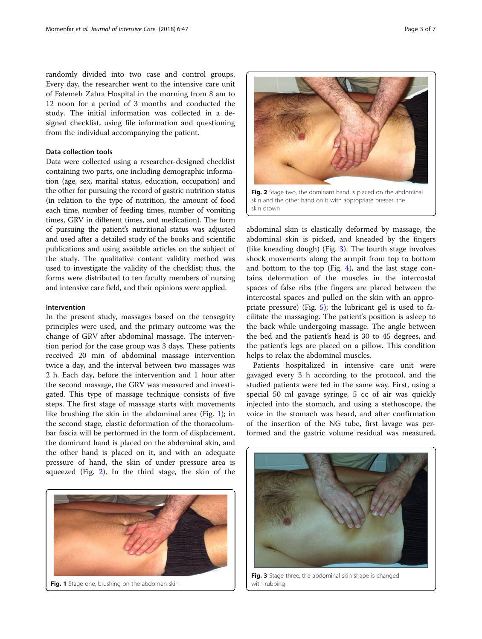randomly divided into two case and control groups. Every day, the researcher went to the intensive care unit of Fatemeh Zahra Hospital in the morning from 8 am to 12 noon for a period of 3 months and conducted the study. The initial information was collected in a designed checklist, using file information and questioning from the individual accompanying the patient.

## Data collection tools

Data were collected using a researcher-designed checklist containing two parts, one including demographic information (age, sex, marital status, education, occupation) and the other for pursuing the record of gastric nutrition status (in relation to the type of nutrition, the amount of food each time, number of feeding times, number of vomiting times, GRV in different times, and medication). The form of pursuing the patient's nutritional status was adjusted and used after a detailed study of the books and scientific publications and using available articles on the subject of the study. The qualitative content validity method was used to investigate the validity of the checklist; thus, the forms were distributed to ten faculty members of nursing and intensive care field, and their opinions were applied.

## Intervention

In the present study, massages based on the tensegrity principles were used, and the primary outcome was the change of GRV after abdominal massage. The intervention period for the case group was 3 days. These patients received 20 min of abdominal massage intervention twice a day, and the interval between two massages was 2 h. Each day, before the intervention and 1 hour after the second massage, the GRV was measured and investigated. This type of massage technique consists of five steps. The first stage of massage starts with movements like brushing the skin in the abdominal area (Fig. 1); in the second stage, elastic deformation of the thoracolumbar fascia will be performed in the form of displacement, the dominant hand is placed on the abdominal skin, and the other hand is placed on it, and with an adequate pressure of hand, the skin of under pressure area is squeezed (Fig. 2). In the third stage, the skin of the



Fig. 2 Stage two, the dominant hand is placed on the abdominal skin and the other hand on it with appropriate presser, the

skin drown

abdominal skin is elastically deformed by massage, the abdominal skin is picked, and kneaded by the fingers (like kneading dough) (Fig. 3). The fourth stage involves shock movements along the armpit from top to bottom and bottom to the top (Fig. [4\)](#page-3-0), and the last stage contains deformation of the muscles in the intercostal spaces of false ribs (the fingers are placed between the intercostal spaces and pulled on the skin with an appropriate pressure) (Fig. [5](#page-3-0)); the lubricant gel is used to facilitate the massaging. The patient's position is asleep to the back while undergoing massage. The angle between the bed and the patient's head is 30 to 45 degrees, and the patient's legs are placed on a pillow. This condition helps to relax the abdominal muscles.

Patients hospitalized in intensive care unit were gavaged every 3 h according to the protocol, and the studied patients were fed in the same way. First, using a special 50 ml gavage syringe, 5 cc of air was quickly injected into the stomach, and using a stethoscope, the voice in the stomach was heard, and after confirmation of the insertion of the NG tube, first lavage was performed and the gastric volume residual was measured,



Fig. 3 Stage three, the abdominal skin shape is changed with rubbing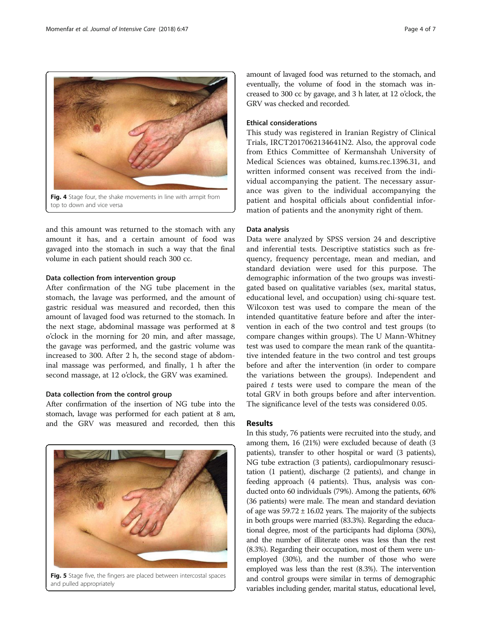and this amount was returned to the stomach with any amount it has, and a certain amount of food was gavaged into the stomach in such a way that the final volume in each patient should reach 300 cc.

## Data collection from intervention group

After confirmation of the NG tube placement in the stomach, the lavage was performed, and the amount of gastric residual was measured and recorded, then this amount of lavaged food was returned to the stomach. In the next stage, abdominal massage was performed at 8 o'clock in the morning for 20 min, and after massage, the gavage was performed, and the gastric volume was increased to 300. After 2 h, the second stage of abdominal massage was performed, and finally, 1 h after the second massage, at 12 o'clock, the GRV was examined.

## Data collection from the control group

After confirmation of the insertion of NG tube into the stomach, lavage was performed for each patient at 8 am, and the GRV was measured and recorded, then this amount of lavaged food was returned to the stomach, and eventually, the volume of food in the stomach was increased to 300 cc by gavage, and 3 h later, at 12 o'clock, the GRV was checked and recorded.

## Ethical considerations

This study was registered in Iranian Registry of Clinical Trials, IRCT2017062134641N2. Also, the approval code from Ethics Committee of Kermanshah University of Medical Sciences was obtained, kums.rec.1396.31, and written informed consent was received from the individual accompanying the patient. The necessary assurance was given to the individual accompanying the patient and hospital officials about confidential information of patients and the anonymity right of them.

## Data analysis

Data were analyzed by SPSS version 24 and descriptive and inferential tests. Descriptive statistics such as frequency, frequency percentage, mean and median, and standard deviation were used for this purpose. The demographic information of the two groups was investigated based on qualitative variables (sex, marital status, educational level, and occupation) using chi-square test. Wilcoxon test was used to compare the mean of the intended quantitative feature before and after the intervention in each of the two control and test groups (to compare changes within groups). The U Mann-Whitney test was used to compare the mean rank of the quantitative intended feature in the two control and test groups before and after the intervention (in order to compare the variations between the groups). Independent and paired  $t$  tests were used to compare the mean of the total GRV in both groups before and after intervention. The significance level of the tests was considered 0.05.

## Results

In this study, 76 patients were recruited into the study, and among them, 16 (21%) were excluded because of death (3 patients), transfer to other hospital or ward (3 patients), NG tube extraction (3 patients), cardiopulmonary resuscitation (1 patient), discharge (2 patients), and change in feeding approach (4 patients). Thus, analysis was conducted onto 60 individuals (79%). Among the patients, 60% (36 patients) were male. The mean and standard deviation of age was  $59.72 \pm 16.02$  years. The majority of the subjects in both groups were married (83.3%). Regarding the educational degree, most of the participants had diploma (30%), and the number of illiterate ones was less than the rest (8.3%). Regarding their occupation, most of them were unemployed (30%), and the number of those who were employed was less than the rest (8.3%). The intervention and control groups were similar in terms of demographic variables including gender, marital status, educational level,

and pulled appropriately



<span id="page-3-0"></span>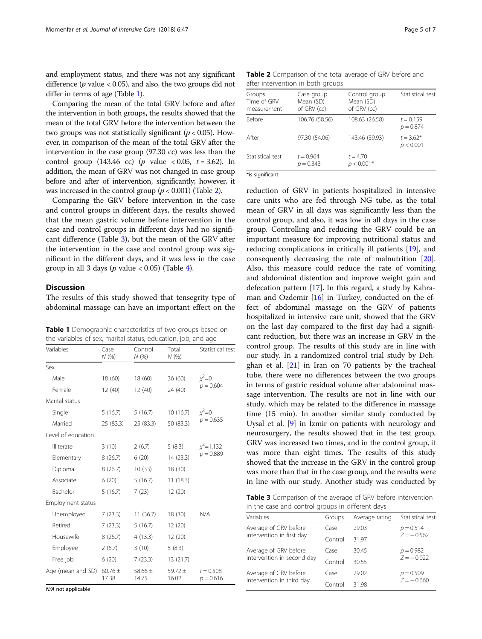and employment status, and there was not any significant difference ( $p$  value < 0.05), and also, the two groups did not differ in terms of age (Table 1).

Comparing the mean of the total GRV before and after the intervention in both groups, the results showed that the mean of the total GRV before the intervention between the two groups was not statistically significant ( $p < 0.05$ ). However, in comparison of the mean of the total GRV after the intervention in the case group (97.30 cc) was less than the control group (143.46 cc) (*p* value  $< 0.05$ ,  $t = 3.62$ ). In addition, the mean of GRV was not changed in case group before and after of intervention, significantly; however, it was increased in the control group  $(p < 0.001)$  (Table 2).

Comparing the GRV before intervention in the case and control groups in different days, the results showed that the mean gastric volume before intervention in the case and control groups in different days had no significant difference (Table 3), but the mean of the GRV after the intervention in the case and control group was significant in the different days, and it was less in the case group in all 3 days ( $p$  value < 0.05) (Table [4](#page-5-0)).

## **Discussion**

The results of this study showed that tensegrity type of abdominal massage can have an important effect on the

Table 1 Demographic characteristics of two groups based on the variables of sex, marital status, education, job, and age

| Variables          | Case<br>N (%)        | Control<br>N (%)     | Total<br>N(%)        | Statistical test             |  |
|--------------------|----------------------|----------------------|----------------------|------------------------------|--|
| Sex                |                      |                      |                      |                              |  |
| Male               | 18 (60)              | 18 (60)              | 36(60)               | $x^2=0$                      |  |
| Female             | 12(40)               | 12(40)               | 24 (40)              | $p = 0.604$                  |  |
| Marital status     |                      |                      |                      |                              |  |
| Single             | 5(16.7)              | 5(16.7)              | 10(16.7)             | $x^2=0$<br>$p = 0.635$       |  |
| Married            | 25 (83.3)            | 25 (83.3)            | 50 (83.3)            |                              |  |
| Level of education |                      |                      |                      |                              |  |
| Illiterate         | 3(10)                | 2(6.7)               | 5(8.3)               | $x^2$ = 1.132<br>$p = 0.889$ |  |
| Elementary         | 8(26.7)              | 6(20)                | 14(23.3)             |                              |  |
| Diploma            | 8 (26.7)             | 10(33)               | 18 (30)              |                              |  |
| Associate          | 6 (20)               | 5(16.7)              | 11(18.3)             |                              |  |
| Bachelor           | 5(16.7)              | 7(23)                | 12(20)               |                              |  |
| Employment status  |                      |                      |                      |                              |  |
| Unemployed         | 7(23.3)              | 11(36.7)             | 18(30)               | N/A                          |  |
| Retired            | 7(23.3)              | 5(16.7)              | 12(20)               |                              |  |
| Housewife          | 8(26.7)              | 4(13.3)              | 12(20)               |                              |  |
| <b>Employee</b>    | 2(6.7)               | 3(10)                | 5(8.3)               |                              |  |
| Free job           | 6(20)                | 7(23.3)              | 13(21.7)             |                              |  |
| Age (mean and SD)  | $60.76 \pm$<br>17.38 | 58.66 $\pm$<br>14.75 | 59.72 $\pm$<br>16.02 | $t = 0.508$<br>$p = 0.616$   |  |

| Groups<br>Time of GRV<br>measurement | Case group<br>Mean (SD)<br>of GRV (cc) | Control group<br>Mean (SD)<br>of GRV (cc) | Statistical test           |  |  |  |
|--------------------------------------|----------------------------------------|-------------------------------------------|----------------------------|--|--|--|
| Before                               | 106.76 (58.56)                         | 108.63 (26.58)                            | $t = 0.159$<br>$p = 0.874$ |  |  |  |
| After                                | 97.30 (54.06)                          | 143.46 (39.93)                            | $t = 3.62*$<br>p < 0.001   |  |  |  |
| Statistical test                     | $t = 0.964$<br>$p = 0.343$             | $t = 4.70$<br>$p < 0.001*$                |                            |  |  |  |
|                                      |                                        |                                           |                            |  |  |  |

\*is significant

reduction of GRV in patients hospitalized in intensive care units who are fed through NG tube, as the total mean of GRV in all days was significantly less than the control group, and also, it was low in all days in the case group. Controlling and reducing the GRV could be an important measure for improving nutritional status and reducing complications in critically ill patients [[19\]](#page-6-0), and consequently decreasing the rate of malnutrition [\[20](#page-6-0)]. Also, this measure could reduce the rate of vomiting and abdominal distention and improve weight gain and defecation pattern [[17\]](#page-6-0). In this regard, a study by Kahraman and Ozdemir [[16\]](#page-6-0) in Turkey, conducted on the effect of abdominal massage on the GRV of patients hospitalized in intensive care unit, showed that the GRV on the last day compared to the first day had a significant reduction, but there was an increase in GRV in the control group. The results of this study are in line with our study. In a randomized control trial study by Dehghan et al.  $[21]$  $[21]$  in Iran on 70 patients by the tracheal tube, there were no differences between the two groups in terms of gastric residual volume after abdominal massage intervention. The results are not in line with our study, which may be related to the difference in massage time (15 min). In another similar study conducted by Uysal et al. [\[9](#page-6-0)] in İzmir on patients with neurology and neurosurgery, the results showed that in the test group, GRV was increased two times, and in the control group, it was more than eight times. The results of this study showed that the increase in the GRV in the control group was more than that in the case group, and the results were in line with our study. Another study was conducted by

Table 3 Comparison of the average of GRV before intervention in the case and control groups in different days

| Variables                  | Groups  | Average rating | Statistical test            |
|----------------------------|---------|----------------|-----------------------------|
| Average of GRV before      | Case    | 29.03          | $p = 0.514$<br>$Z = -0.562$ |
| intervention in first day  | Control | 31.97          |                             |
| Average of GRV before      | Case    | 30.45          | $p = 0.982$<br>$7 = -0.022$ |
| intervention in second day | Control | 30.55          |                             |
| Average of GRV before      | Case    | 29.02          | $p = 0.509$                 |
| intervention in third day  | Control | 31.98          | $Z = -0.660$                |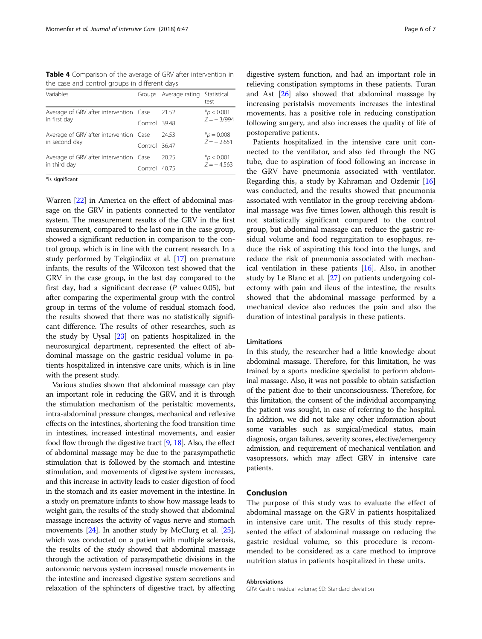<span id="page-5-0"></span>Table 4 Comparison of the average of GRV after intervention in the case and control groups in different days

| Variables                              |               | Groups Average rating Statistical | test                            |
|----------------------------------------|---------------|-----------------------------------|---------------------------------|
| Average of GRV after intervention Case |               | 21.52                             | $*_{D}$ < 0.001<br>$7 = -3/994$ |
| in first day                           | Control 39.48 |                                   |                                 |
| Average of GRV after intervention Case |               | 24.53                             | $*_{p} = 0.008$<br>$7 = -2.651$ |
| in second day                          | Control 36.47 |                                   |                                 |
| Average of GRV after intervention Case |               | 20.25                             | $*_{D}$ < 0.001<br>$7 = -4.563$ |
| in third day                           | Control 40.75 |                                   |                                 |

\*is significant

Warren [\[22\]](#page-6-0) in America on the effect of abdominal massage on the GRV in patients connected to the ventilator system. The measurement results of the GRV in the first measurement, compared to the last one in the case group, showed a significant reduction in comparison to the control group, which is in line with the current research. In a study performed by Tekgündüz et al. [[17](#page-6-0)] on premature infants, the results of the Wilcoxon test showed that the GRV in the case group, in the last day compared to the first day, had a significant decrease ( $P$  value < 0.05), but after comparing the experimental group with the control group in terms of the volume of residual stomach food, the results showed that there was no statistically significant difference. The results of other researches, such as the study by Uysal [\[23\]](#page-6-0) on patients hospitalized in the neurosurgical department, represented the effect of abdominal massage on the gastric residual volume in patients hospitalized in intensive care units, which is in line with the present study.

Various studies shown that abdominal massage can play an important role in reducing the GRV, and it is through the stimulation mechanism of the peristaltic movements, intra-abdominal pressure changes, mechanical and reflexive effects on the intestines, shortening the food transition time in intestines, increased intestinal movements, and easier food flow through the digestive tract [\[9](#page-6-0), [18](#page-6-0)]. Also, the effect of abdominal massage may be due to the parasympathetic stimulation that is followed by the stomach and intestine stimulation, and movements of digestive system increases, and this increase in activity leads to easier digestion of food in the stomach and its easier movement in the intestine. In a study on premature infants to show how massage leads to weight gain, the results of the study showed that abdominal massage increases the activity of vagus nerve and stomach movements [\[24](#page-6-0)]. In another study by McClurg et al. [\[25](#page-6-0)], which was conducted on a patient with multiple sclerosis, the results of the study showed that abdominal massage through the activation of parasympathetic divisions in the autonomic nervous system increased muscle movements in the intestine and increased digestive system secretions and relaxation of the sphincters of digestive tract, by affecting

digestive system function, and had an important role in relieving constipation symptoms in these patients. Turan and Ast [\[26\]](#page-6-0) also showed that abdominal massage by increasing peristalsis movements increases the intestinal movements, has a positive role in reducing constipation following surgery, and also increases the quality of life of postoperative patients.

Patients hospitalized in the intensive care unit connected to the ventilator, and also fed through the NG tube, due to aspiration of food following an increase in the GRV have pneumonia associated with ventilator. Regarding this, a study by Kahraman and Ozdemir [[16](#page-6-0)] was conducted, and the results showed that pneumonia associated with ventilator in the group receiving abdominal massage was five times lower, although this result is not statistically significant compared to the control group, but abdominal massage can reduce the gastric residual volume and food regurgitation to esophagus, reduce the risk of aspirating this food into the lungs, and reduce the risk of pneumonia associated with mechanical ventilation in these patients [[16](#page-6-0)]. Also, in another study by Le Blanc et al. [[27\]](#page-6-0) on patients undergoing colectomy with pain and ileus of the intestine, the results showed that the abdominal massage performed by a mechanical device also reduces the pain and also the duration of intestinal paralysis in these patients.

## Limitations

In this study, the researcher had a little knowledge about abdominal massage. Therefore, for this limitation, he was trained by a sports medicine specialist to perform abdominal massage. Also, it was not possible to obtain satisfaction of the patient due to their unconsciousness. Therefore, for this limitation, the consent of the individual accompanying the patient was sought, in case of referring to the hospital. In addition, we did not take any other information about some variables such as surgical/medical status, main diagnosis, organ failures, severity scores, elective/emergency admission, and requirement of mechanical ventilation and vasopressors, which may affect GRV in intensive care patients.

## Conclusion

The purpose of this study was to evaluate the effect of abdominal massage on the GRV in patients hospitalized in intensive care unit. The results of this study represented the effect of abdominal massage on reducing the gastric residual volume, so this procedure is recommended to be considered as a care method to improve nutrition status in patients hospitalized in these units.

## Abbreviations

GRV: Gastric residual volume; SD: Standard deviation